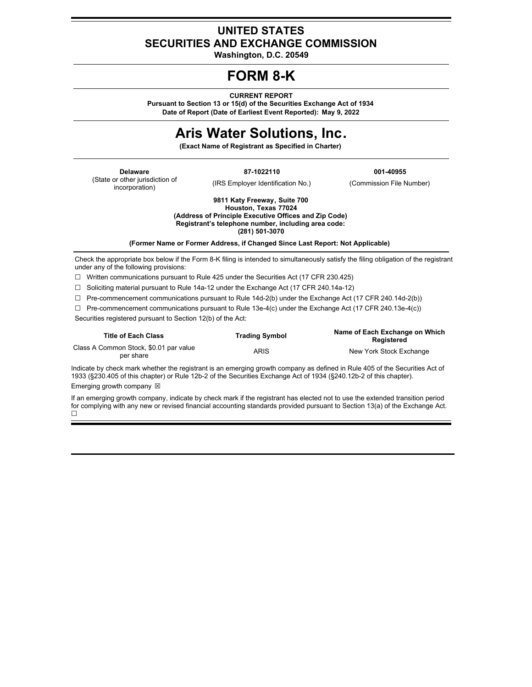# **UNITED STATES SECURITIES AND EXCHANGE COMMISSION**

**Washington, D.C. 20549**

# **FORM 8-K**

**CURRENT REPORT**

**Pursuant to Section 13 or 15(d) of the Securities Exchange Act of 1934 Date of Report (Date of Earliest Event Reported): May 9, 2022**

# **Aris Water Solutions, Inc.**

**(Exact Name of Registrant as Specified in Charter)**

(State or other jurisdiction of incorporation)

(IRS Employer Identification No.) (Commission File Number)

**Delaware 87-1022110 001-40955**

**9811 Katy Freeway, Suite 700 Houston, Texas 77024 (Address of Principle Executive Offices and Zip Code) Registrant's telephone number, including area code: (281) 501-3070**

**(Former Name or Former Address, if Changed Since Last Report: Not Applicable)**

Check the appropriate box below if the Form 8-K filing is intended to simultaneously satisfy the filing obligation of the registrant under any of the following provisions:

☐ Written communications pursuant to Rule 425 under the Securities Act (17 CFR 230.425)

☐ Soliciting material pursuant to Rule 14a-12 under the Exchange Act (17 CFR 240.14a-12)

 $\Box$  Pre-commencement communications pursuant to Rule 14d-2(b) under the Exchange Act (17 CFR 240.14d-2(b))

☐ Pre-commencement communications pursuant to Rule 13e-4(c) under the Exchange Act (17 CFR 240.13e-4(c)) Securities registered pursuant to Section 12(b) of the Act:

| <b>Title of Each Class</b>                          | <b>Trading Symbol</b> | Name of Each Exchange on Which<br>Reaistered |
|-----------------------------------------------------|-----------------------|----------------------------------------------|
| Class A Common Stock, \$0.01 par value<br>per share | ARIS                  | New York Stock Exchange                      |

Indicate by check mark whether the registrant is an emerging growth company as defined in Rule 405 of the Securities Act of 1933 (§230.405 of this chapter) or Rule 12b-2 of the Securities Exchange Act of 1934 (§240.12b-2 of this chapter). Emerging growth company  $\boxtimes$ 

If an emerging growth company, indicate by check mark if the registrant has elected not to use the extended transition period for complying with any new or revised financial accounting standards provided pursuant to Section 13(a) of the Exchange Act. ☐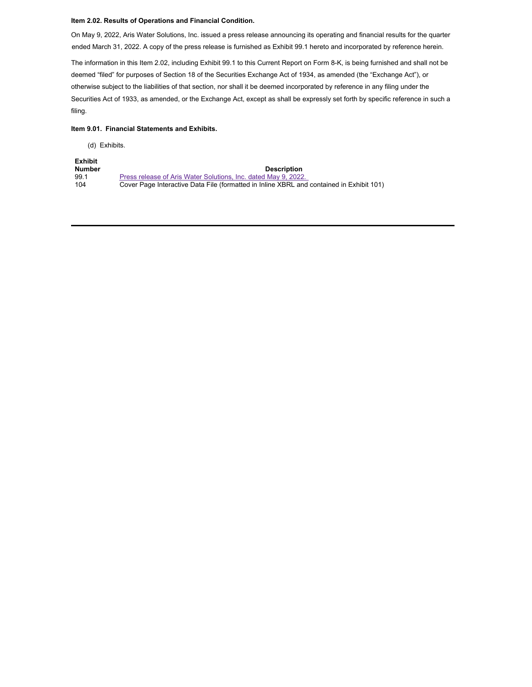#### **Item 2.02. Results of Operations and Financial Condition.**

On May 9, 2022, Aris Water Solutions, Inc. issued a press release announcing its operating and financial results for the quarter ended March 31, 2022. A copy of the press release is furnished as Exhibit 99.1 hereto and incorporated by reference herein.

The information in this Item 2.02, including Exhibit 99.1 to this Current Report on Form 8-K, is being furnished and shall not be deemed "filed" for purposes of Section 18 of the Securities Exchange Act of 1934, as amended (the "Exchange Act"), or otherwise subject to the liabilities of that section, nor shall it be deemed incorporated by reference in any filing under the Securities Act of 1933, as amended, or the Exchange Act, except as shall be expressly set forth by specific reference in such a filing.

#### **Item 9.01. Financial Statements and Exhibits.**

(d) Exhibits.

| <b>Exhibit</b> |                                                                                          |
|----------------|------------------------------------------------------------------------------------------|
| <b>Number</b>  | <b>Description</b>                                                                       |
| 99.1           | Press release of Aris Water Solutions, Inc. dated May 9, 2022.                           |
| 104            | Cover Page Interactive Data File (formatted in Inline XBRL and contained in Exhibit 101) |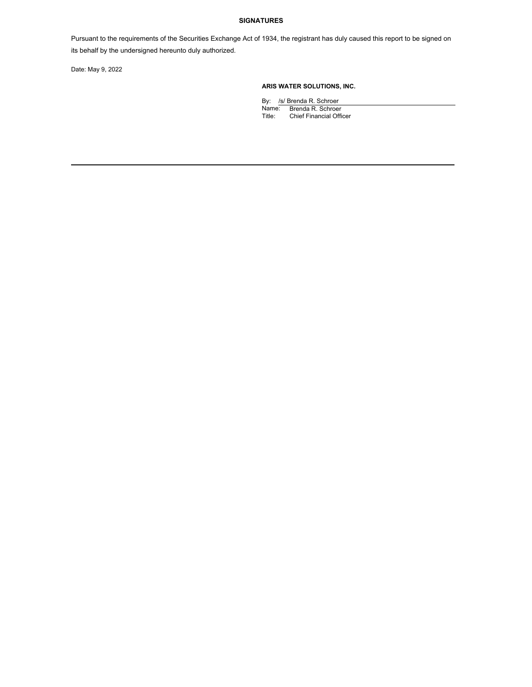#### **SIGNATURES**

Pursuant to the requirements of the Securities Exchange Act of 1934, the registrant has duly caused this report to be signed on its behalf by the undersigned hereunto duly authorized.

Date: May 9, 2022

# **ARIS WATER SOLUTIONS, INC.**

By: /s/ Brenda R. Schroer Name: Brenda R. Schroer Title: Chief Financial Officer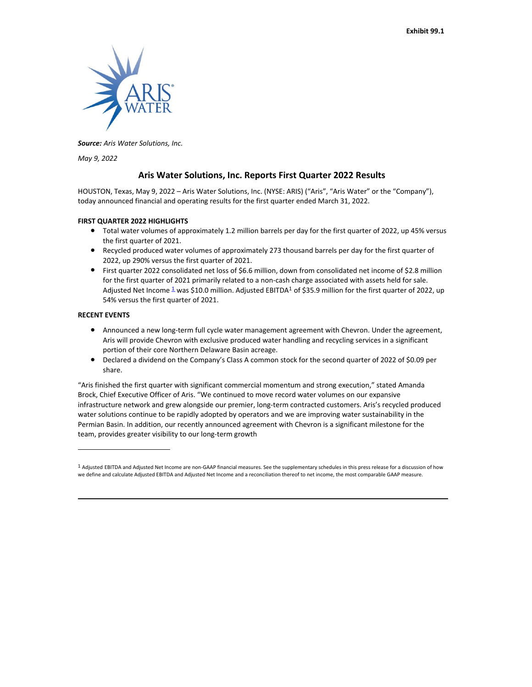

*Source: Aris Water Solutions, Inc.*

*May 9, 2022*

# **Aris Water Solutions, Inc. Reports First Quarter 2022 Results**

HOUSTON, Texas, May 9, 2022 – Aris Water Solutions, Inc. (NYSE: ARIS) ("Aris", "Aris Water" or the "Company"), today announced financial and operating results for the first quarter ended March 31, 2022.

#### **FIRST QUARTER 2022 HIGHLIGHTS**

- Total water volumes of approximately 1.2 million barrels per day for the first quarter of 2022, up 45% versus the first quarter of 2021.
- Recycled produced water volumes of approximately 273 thousand barrels per day for the first quarter of 2022, up 290% versus the first quarter of 2021.
- First quarter 2022 consolidated net loss of \$6.6 million, down from consolidated net income of \$2.8 million for the first quarter of 2021 primarily related to a non-cash charge associated with assets held for sale. Adjusted Net Income  $1$  was \$10.0 million. Adjusted EBITDA<sup>1</sup> of \$35.9 million for the first quarter of 2022, up 54% versus the first quarter of 2021.

#### **RECENT EVENTS**

- Announced a new long-term full cycle water management agreement with Chevron. Under the agreement, Aris will provide Chevron with exclusive produced water handling and recycling services in a significant portion of their core Northern Delaware Basin acreage.
- Declared a dividend on the Company's Class A common stock for the second quarter of 2022 of \$0.09 per share.

"Aris finished the first quarter with significant commercial momentum and strong execution," stated Amanda Brock, Chief Executive Officer of Aris. "We continued to move record water volumes on our expansive infrastructure network and grew alongside our premier, long-term contracted customers. Aris's recycled produced water solutions continue to be rapidly adopted by operators and we are improving water sustainability in the Permian Basin. In addition, our recently announced agreement with Chevron is a significant milestone for the team, provides greater visibility to our long-term growth

<span id="page-3-0"></span><sup>1</sup> Adjusted EBITDA and Adjusted Net Income are non-GAAP financial measures. See the supplementary schedules in this press release for a discussion of how we define and calculate Adjusted EBITDA and Adjusted Net Income and a reconciliation thereof to net income, the most comparable GAAP measure.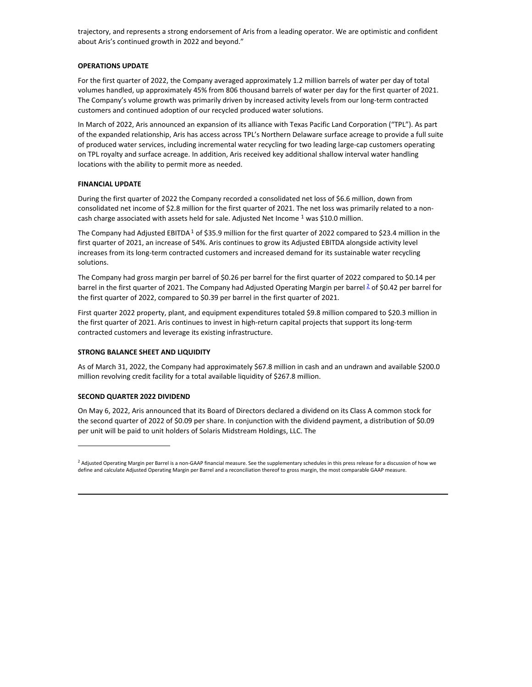trajectory, and represents a strong endorsement of Aris from a leading operator. We are optimistic and confident about Aris's continued growth in 2022 and beyond."

#### **OPERATIONS UPDATE**

For the first quarter of 2022, the Company averaged approximately 1.2 million barrels of water per day of total volumes handled, up approximately 45% from 806 thousand barrels of water per day for the first quarter of 2021. The Company's volume growth was primarily driven by increased activity levels from our long-term contracted customers and continued adoption of our recycled produced water solutions.

In March of 2022, Aris announced an expansion of its alliance with Texas Pacific Land Corporation ("TPL"). As part of the expanded relationship, Aris has access across TPL's Northern Delaware surface acreage to provide a full suite of produced water services, including incremental water recycling for two leading large-cap customers operating on TPL royalty and surface acreage. In addition, Aris received key additional shallow interval water handling locations with the ability to permit more as needed.

#### **FINANCIAL UPDATE**

During the first quarter of 2022 the Company recorded a consolidated net loss of \$6.6 million, down from consolidated net income of \$2.8 million for the first quarter of 2021. The net loss was primarily related to a noncash charge associated with assets held for sale. Adjusted Net Income <sup>1</sup> was \$10.0 million.

The Company had Adjusted EBITDA<sup>1</sup> of \$35.9 million for the first quarter of 2022 compared to \$23.4 million in the first quarter of 2021, an increase of 54%. Aris continues to grow its Adjusted EBITDA alongside activity level increases from its long-term contracted customers and increased demand for its sustainable water recycling solutions.

The Company had gross margin per barrel of \$0.26 per barrel for the first quarter of 2022 compared to \$0.14 per barrel in the first quarter of [2](#page-4-0)021. The Company had Adjusted Operating Margin per barrel <sup>2</sup> of \$0.42 per barrel for the first quarter of 2022, compared to \$0.39 per barrel in the first quarter of 2021.

First quarter 2022 property, plant, and equipment expenditures totaled \$9.8 million compared to \$20.3 million in the first quarter of 2021. Aris continues to invest in high-return capital projects that support its long-term contracted customers and leverage its existing infrastructure.

#### **STRONG BALANCE SHEET AND LIQUIDITY**

As of March 31, 2022, the Company had approximately \$67.8 million in cash and an undrawn and available \$200.0 million revolving credit facility for a total available liquidity of \$267.8 million.

#### **SECOND QUARTER 2022 DIVIDEND**

On May 6, 2022, Aris announced that its Board of Directors declared a dividend on its Class A common stock for the second quarter of 2022 of \$0.09 per share. In conjunction with the dividend payment, a distribution of \$0.09 per unit will be paid to unit holders of Solaris Midstream Holdings, LLC. The

<span id="page-4-0"></span> $^2$  Adiusted Operating Margin per Barrel is a non-GAAP financial measure. See the supplementary schedules in this press release for a discussion of how we define and calculate Adjusted Operating Margin per Barrel and a reconciliation thereof to gross margin, the most comparable GAAP measure.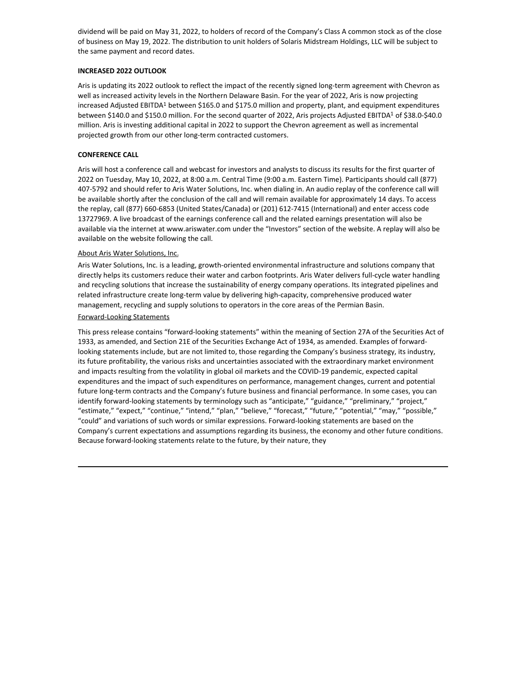dividend will be paid on May 31, 2022, to holders of record of the Company's Class A common stock as of the close of business on May 19, 2022. The distribution to unit holders of Solaris Midstream Holdings, LLC will be subject to the same payment and record dates.

#### **INCREASED 2022 OUTLOOK**

Aris is updating its 2022 outlook to reflect the impact of the recently signed long-term agreement with Chevron as well as increased activity levels in the Northern Delaware Basin. For the year of 2022, Aris is now projecting increased Adjusted EBITDA<sup>1</sup> between \$165.0 and \$175.0 million and property, plant, and equipment expenditures between \$140.0 and \$150.0 million. For the second quarter of 2022, Aris projects Adjusted EBITDA<sup>1</sup> of \$38.0-\$40.0 million. Aris is investing additional capital in 2022 to support the Chevron agreement as well as incremental projected growth from our other long-term contracted customers.

## **CONFERENCE CALL**

Aris will host a conference call and webcast for investors and analysts to discuss its results for the first quarter of 2022 on Tuesday, May 10, 2022, at 8:00 a.m. Central Time (9:00 a.m. Eastern Time). Participants should call (877) 407-5792 and should refer to Aris Water Solutions, Inc. when dialing in. An audio replay of the conference call will be available shortly after the conclusion of the call and will remain available for approximately 14 days. To access the replay, call (877) 660-6853 (United States/Canada) or (201) 612-7415 (International) and enter access code 13727969. A live broadcast of the earnings conference call and the related earnings presentation will also be available via the internet at www.ariswater.com under the "Investors" section of the website. A replay will also be available on the website following the call.

## About Aris Water Solutions, Inc.

Aris Water Solutions, Inc. is a leading, growth-oriented environmental infrastructure and solutions company that directly helps its customers reduce their water and carbon footprints. Aris Water delivers full-cycle water handling and recycling solutions that increase the sustainability of energy company operations. Its integrated pipelines and related infrastructure create long-term value by delivering high-capacity, comprehensive produced water management, recycling and supply solutions to operators in the core areas of the Permian Basin.

## Forward-Looking Statements

This press release contains "forward-looking statements" within the meaning of Section 27A of the Securities Act of 1933, as amended, and Section 21E of the Securities Exchange Act of 1934, as amended. Examples of forwardlooking statements include, but are not limited to, those regarding the Company's business strategy, its industry, its future profitability, the various risks and uncertainties associated with the extraordinary market environment and impacts resulting from the volatility in global oil markets and the COVID-19 pandemic, expected capital expenditures and the impact of such expenditures on performance, management changes, current and potential future long-term contracts and the Company's future business and financial performance. In some cases, you can identify forward-looking statements by terminology such as "anticipate," "guidance," "preliminary," "project," "estimate," "expect," "continue," "intend," "plan," "believe," "forecast," "future," "potential," "may," "possible," "could" and variations of such words or similar expressions. Forward-looking statements are based on the Company's current expectations and assumptions regarding its business, the economy and other future conditions. Because forward-looking statements relate to the future, by their nature, they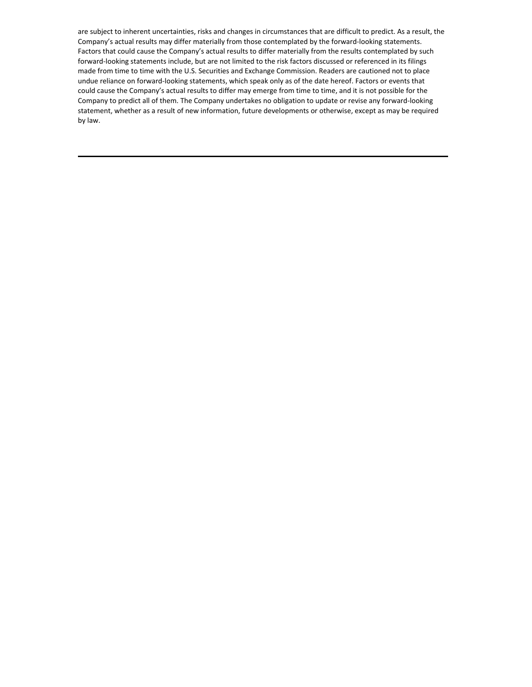are subject to inherent uncertainties, risks and changes in circumstances that are difficult to predict. As a result, the Company's actual results may differ materially from those contemplated by the forward-looking statements. Factors that could cause the Company's actual results to differ materially from the results contemplated by such forward-looking statements include, but are not limited to the risk factors discussed or referenced in its filings made from time to time with the U.S. Securities and Exchange Commission. Readers are cautioned not to place undue reliance on forward-looking statements, which speak only as of the date hereof. Factors or events that could cause the Company's actual results to differ may emerge from time to time, and it is not possible for the Company to predict all of them. The Company undertakes no obligation to update or revise any forward-looking statement, whether as a result of new information, future developments or otherwise, except as may be required by law.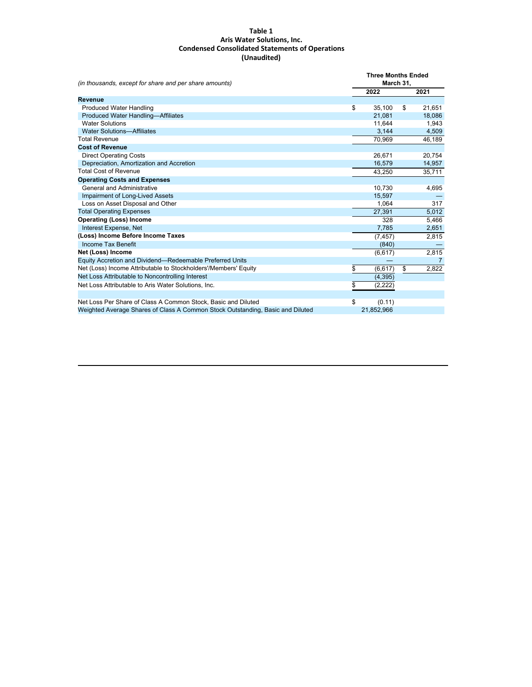#### **Table 1 Aris Water Solutions, Inc. Condensed Consolidated Statements of Operations (Unaudited)**

| (in thousands, except for share and per share amounts)                         | <b>Three Months Ended</b><br>March 31, |            |    |                |
|--------------------------------------------------------------------------------|----------------------------------------|------------|----|----------------|
|                                                                                |                                        | 2022       |    | 2021           |
| Revenue                                                                        |                                        |            |    |                |
| <b>Produced Water Handling</b>                                                 | \$                                     | 35,100     | \$ | 21,651         |
| <b>Produced Water Handling-Affiliates</b>                                      |                                        | 21.081     |    | 18,086         |
| <b>Water Solutions</b>                                                         |                                        | 11,644     |    | 1,943          |
| <b>Water Solutions-Affiliates</b>                                              |                                        | 3,144      |    | 4,509          |
| <b>Total Revenue</b>                                                           |                                        | 70,969     |    | 46,189         |
| <b>Cost of Revenue</b>                                                         |                                        |            |    |                |
| <b>Direct Operating Costs</b>                                                  |                                        | 26.671     |    | 20,754         |
| Depreciation, Amortization and Accretion                                       |                                        | 16,579     |    | 14,957         |
| <b>Total Cost of Revenue</b>                                                   |                                        | 43,250     |    | 35,711         |
| <b>Operating Costs and Expenses</b>                                            |                                        |            |    |                |
| General and Administrative                                                     |                                        | 10,730     |    | 4,695          |
| Impairment of Long-Lived Assets                                                |                                        | 15,597     |    |                |
| Loss on Asset Disposal and Other                                               |                                        | 1.064      |    | 317            |
| <b>Total Operating Expenses</b>                                                |                                        | 27,391     |    | 5,012          |
| <b>Operating (Loss) Income</b>                                                 |                                        | 328        |    | 5,466          |
| Interest Expense, Net                                                          |                                        | 7,785      |    | 2,651          |
| (Loss) Income Before Income Taxes                                              |                                        | (7, 457)   |    | 2,815          |
| Income Tax Benefit                                                             |                                        | (840)      |    |                |
| Net (Loss) Income                                                              |                                        | (6, 617)   |    | 2,815          |
| Equity Accretion and Dividend-Redeemable Preferred Units                       |                                        |            |    | $\overline{7}$ |
| Net (Loss) Income Attributable to Stockholders'/Members' Equity                | \$                                     | (6, 617)   | \$ | 2,822          |
| Net Loss Attributable to Noncontrolling Interest                               |                                        | (4, 395)   |    |                |
| Net Loss Attributable to Aris Water Solutions, Inc.                            | \$                                     | (2,222)    |    |                |
|                                                                                |                                        |            |    |                |
| Net Loss Per Share of Class A Common Stock, Basic and Diluted                  | \$                                     | (0.11)     |    |                |
| Weighted Average Shares of Class A Common Stock Outstanding, Basic and Diluted |                                        | 21,852,966 |    |                |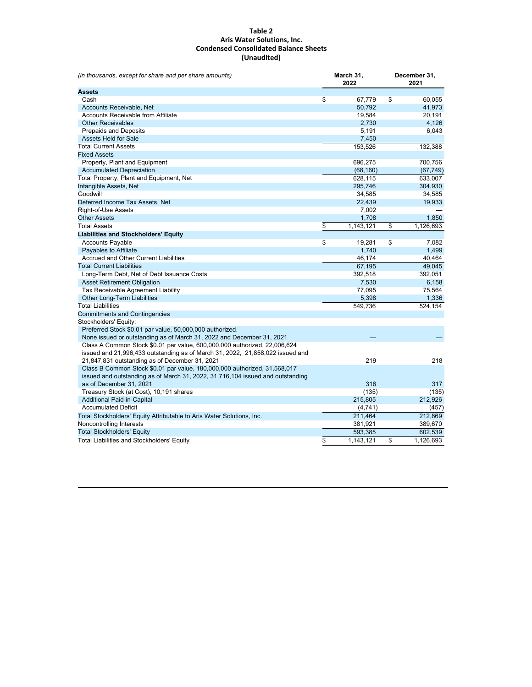#### **Table 2 Aris Water Solutions, Inc. Condensed Consolidated Balance Sheets (Unaudited)**

| (in thousands, except for share and per share amounts)                           | March 31,<br>2022 |           | December 31,<br>2021 |  |
|----------------------------------------------------------------------------------|-------------------|-----------|----------------------|--|
| <b>Assets</b>                                                                    |                   |           |                      |  |
| Cash                                                                             | \$                | 67,779    | \$<br>60,055         |  |
| Accounts Receivable, Net                                                         |                   | 50,792    | 41,973               |  |
| <b>Accounts Receivable from Affiliate</b>                                        |                   | 19,584    | 20,191               |  |
| <b>Other Receivables</b>                                                         |                   | 2,730     | 4,126                |  |
| <b>Prepaids and Deposits</b>                                                     |                   | 5,191     | 6,043                |  |
| <b>Assets Held for Sale</b>                                                      |                   | 7,450     |                      |  |
| <b>Total Current Assets</b>                                                      |                   | 153,526   | 132,388              |  |
| <b>Fixed Assets</b>                                                              |                   |           |                      |  |
| Property, Plant and Equipment                                                    |                   | 696,275   | 700,756              |  |
| <b>Accumulated Depreciation</b>                                                  |                   | (68, 160) | (67, 749)            |  |
| Total Property, Plant and Equipment, Net                                         |                   | 628,115   | 633,007              |  |
| Intangible Assets, Net                                                           |                   | 295,746   | 304,930              |  |
| Goodwill                                                                         |                   | 34,585    | 34,585               |  |
| Deferred Income Tax Assets, Net                                                  |                   | 22,439    | 19,933               |  |
| Right-of-Use Assets                                                              |                   | 7,002     |                      |  |
| <b>Other Assets</b>                                                              |                   | 1,708     | 1,850                |  |
| <b>Total Assets</b>                                                              | \$                | 1,143,121 | \$<br>1,126,693      |  |
| <b>Liabilities and Stockholders' Equity</b>                                      |                   |           |                      |  |
| <b>Accounts Payable</b>                                                          | \$                | 19,281    | \$<br>7,082          |  |
| <b>Payables to Affiliate</b>                                                     |                   | 1,740     | 1,499                |  |
| <b>Accrued and Other Current Liabilities</b>                                     |                   | 46,174    | 40,464               |  |
| <b>Total Current Liabilities</b>                                                 |                   | 67,195    | 49,045               |  |
| Long-Term Debt, Net of Debt Issuance Costs                                       |                   | 392,518   | 392,051              |  |
| <b>Asset Retirement Obligation</b>                                               |                   | 7,530     | 6,158                |  |
| Tax Receivable Agreement Liability                                               |                   | 77,095    | 75,564               |  |
| Other Long-Term Liabilities                                                      |                   | 5,398     | 1,336                |  |
| <b>Total Liabilities</b>                                                         |                   | 549,736   | 524,154              |  |
| <b>Commitments and Contingencies</b>                                             |                   |           |                      |  |
| Stockholders' Equity:                                                            |                   |           |                      |  |
| Preferred Stock \$0.01 par value, 50,000,000 authorized.                         |                   |           |                      |  |
| None issued or outstanding as of March 31, 2022 and December 31, 2021            |                   |           |                      |  |
| Class A Common Stock \$0.01 par value, 600,000,000 authorized, 22,006,624        |                   |           |                      |  |
| issued and 21,996,433 outstanding as of March 31, 2022, 21,858,022 issued and    |                   |           |                      |  |
| 21,847,831 outstanding as of December 31, 2021                                   |                   | 219       | 218                  |  |
| Class B Common Stock \$0.01 par value, 180,000,000 authorized, 31,568,017        |                   |           |                      |  |
| issued and outstanding as of March 31, 2022, 31, 716, 104 issued and outstanding |                   |           |                      |  |
| as of December 31, 2021                                                          |                   | 316       | 317                  |  |
| Treasury Stock (at Cost), 10,191 shares                                          |                   | (135)     | (135)                |  |
| <b>Additional Paid-in-Capital</b>                                                |                   | 215,805   | 212,926              |  |
| <b>Accumulated Deficit</b>                                                       |                   | (4,741)   | (457)                |  |
| Total Stockholders' Equity Attributable to Aris Water Solutions, Inc.            |                   | 211,464   | 212,869              |  |
| Noncontrolling Interests                                                         |                   | 381,921   | 389,670              |  |
| <b>Total Stockholders' Equity</b>                                                |                   | 593,385   | 602,539              |  |
| <b>Total Liabilities and Stockholders' Equity</b>                                | \$                | 1,143,121 | \$<br>1,126,693      |  |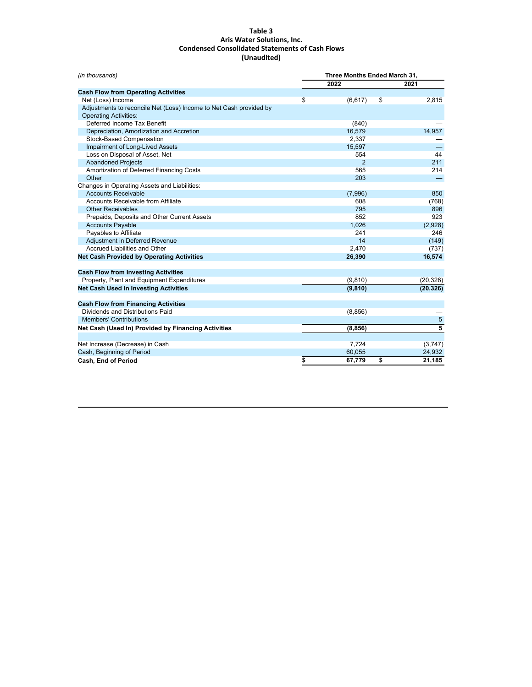#### <span id="page-9-0"></span>**Table 3 Aris Water Solutions, Inc. Condensed Consolidated Statements of Cash Flows (Unaudited)**

| (in thousands)                                                     | Three Months Ended March 31. |          |    |               |
|--------------------------------------------------------------------|------------------------------|----------|----|---------------|
|                                                                    |                              | 2022     |    | 2021          |
| <b>Cash Flow from Operating Activities</b>                         |                              |          |    |               |
| Net (Loss) Income                                                  | \$                           | (6,617)  | \$ | 2,815         |
| Adjustments to reconcile Net (Loss) Income to Net Cash provided by |                              |          |    |               |
| <b>Operating Activities:</b>                                       |                              |          |    |               |
| Deferred Income Tax Benefit                                        |                              | (840)    |    |               |
| Depreciation, Amortization and Accretion                           |                              | 16,579   |    | 14,957        |
| Stock-Based Compensation                                           |                              | 2.337    |    |               |
| Impairment of Long-Lived Assets                                    |                              | 15,597   |    |               |
| Loss on Disposal of Asset, Net                                     |                              | 554      |    | 44            |
| <b>Abandoned Projects</b>                                          |                              | 2        |    | 211           |
| Amortization of Deferred Financing Costs                           |                              | 565      |    | 214           |
| Other                                                              |                              | 203      |    |               |
| Changes in Operating Assets and Liabilities:                       |                              |          |    |               |
| <b>Accounts Receivable</b>                                         |                              | (7,996)  |    | 850           |
| Accounts Receivable from Affiliate                                 |                              | 608      |    | (768)         |
| <b>Other Receivables</b>                                           |                              | 795      |    | 896           |
| Prepaids, Deposits and Other Current Assets                        |                              | 852      |    | 923           |
| <b>Accounts Payable</b>                                            |                              | 1,026    |    | (2,928)       |
| Payables to Affiliate                                              |                              | 241      |    | 246           |
| Adjustment in Deferred Revenue                                     |                              | 14       |    | (149)         |
| Accrued Liabilities and Other                                      |                              | 2,470    |    | (737)         |
| <b>Net Cash Provided by Operating Activities</b>                   |                              | 26,390   |    | 16,574        |
| <b>Cash Flow from Investing Activities</b>                         |                              |          |    |               |
| Property, Plant and Equipment Expenditures                         |                              | (9, 810) |    | (20, 326)     |
| <b>Net Cash Used in Investing Activities</b>                       |                              | (9, 810) |    | (20, 326)     |
|                                                                    |                              |          |    |               |
| <b>Cash Flow from Financing Activities</b>                         |                              |          |    |               |
| Dividends and Distributions Paid                                   |                              | (8,856)  |    |               |
| <b>Members' Contributions</b>                                      |                              |          |    |               |
| Net Cash (Used In) Provided by Financing Activities                |                              | (8, 856) |    | $\frac{5}{5}$ |
|                                                                    |                              |          |    |               |
| Net Increase (Decrease) in Cash                                    |                              | 7,724    |    | (3,747)       |
| Cash, Beginning of Period                                          |                              | 60,055   |    | 24,932        |
| <b>Cash, End of Period</b>                                         | \$                           | 67,779   | \$ | 21,185        |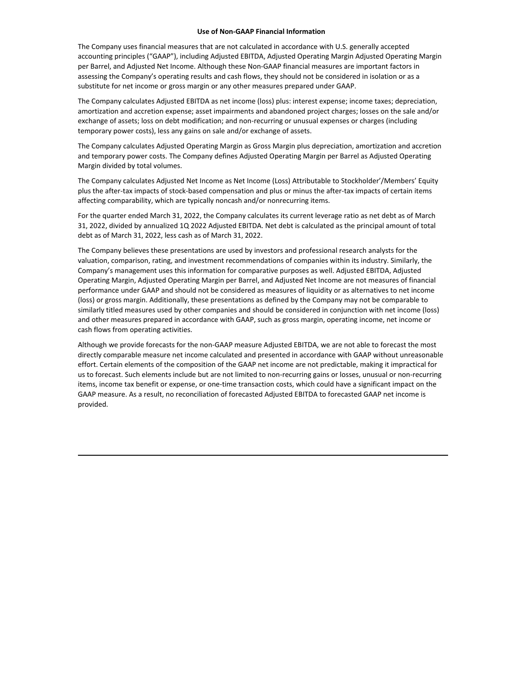#### **Use of Non-GAAP Financial Information**

The Company uses financial measures that are not calculated in accordance with U.S. generally accepted accounting principles ("GAAP"), including Adjusted EBITDA, Adjusted Operating Margin Adjusted Operating Margin per Barrel, and Adjusted Net Income. Although these Non-GAAP financial measures are important factors in assessing the Company's operating results and cash flows, they should not be considered in isolation or as a substitute for net income or gross margin or any other measures prepared under GAAP.

The Company calculates Adjusted EBITDA as net income (loss) plus: interest expense; income taxes; depreciation, amortization and accretion expense; asset impairments and abandoned project charges; losses on the sale and/or exchange of assets; loss on debt modification; and non-recurring or unusual expenses or charges (including temporary power costs), less any gains on sale and/or exchange of assets.

The Company calculates Adjusted Operating Margin as Gross Margin plus depreciation, amortization and accretion and temporary power costs. The Company defines Adjusted Operating Margin per Barrel as Adjusted Operating Margin divided by total volumes.

The Company calculates Adjusted Net Income as Net Income (Loss) Attributable to Stockholder'/Members' Equity plus the after-tax impacts of stock-based compensation and plus or minus the after-tax impacts of certain items affecting comparability, which are typically noncash and/or nonrecurring items.

For the quarter ended March 31, 2022, the Company calculates its current leverage ratio as net debt as of March 31, 2022, divided by annualized 1Q 2022 Adjusted EBITDA. Net debt is calculated as the principal amount of total debt as of March 31, 2022, less cash as of March 31, 2022.

The Company believes these presentations are used by investors and professional research analysts for the valuation, comparison, rating, and investment recommendations of companies within its industry. Similarly, the Company's management uses this information for comparative purposes as well. Adjusted EBITDA, Adjusted Operating Margin, Adjusted Operating Margin per Barrel, and Adjusted Net Income are not measures of financial performance under GAAP and should not be considered as measures of liquidity or as alternatives to net income (loss) or gross margin. Additionally, these presentations as defined by the Company may not be comparable to similarly titled measures used by other companies and should be considered in conjunction with net income (loss) and other measures prepared in accordance with GAAP, such as gross margin, operating income, net income or cash flows from operating activities.

Although we provide forecasts for the non-GAAP measure Adjusted EBITDA, we are not able to forecast the most directly comparable measure net income calculated and presented in accordance with GAAP without unreasonable effort. Certain elements of the composition of the GAAP net income are not predictable, making it impractical for us to forecast. Such elements include but are not limited to non-recurring gains or losses, unusual or non-recurring items, income tax benefit or expense, or one-time transaction costs, which could have a significant impact on the GAAP measure. As a result, no reconciliation of forecasted Adjusted EBITDA to forecasted GAAP net income is provided.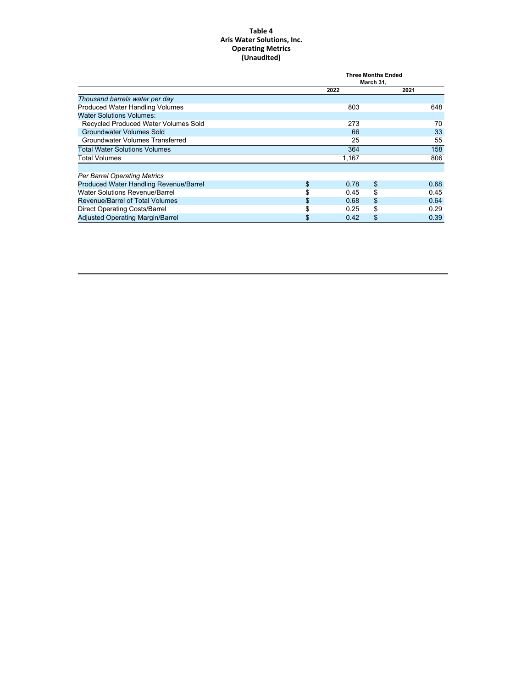#### **Table 4 Aris Water Solutions, Inc. Operating Metrics (Unaudited)**

|                                         | <b>Three Months Ended</b><br>March 31, |       |    |      |
|-----------------------------------------|----------------------------------------|-------|----|------|
|                                         |                                        | 2022  |    | 2021 |
| Thousand barrels water per day          |                                        |       |    |      |
| <b>Produced Water Handling Volumes</b>  |                                        | 803   |    | 648  |
| <b>Water Solutions Volumes:</b>         |                                        |       |    |      |
| Recycled Produced Water Volumes Sold    |                                        | 273   |    | 70   |
| <b>Groundwater Volumes Sold</b>         |                                        | 66    |    | 33   |
| Groundwater Volumes Transferred         |                                        | 25    |    | 55   |
| <b>Total Water Solutions Volumes</b>    |                                        | 364   |    | 158  |
| <b>Total Volumes</b>                    |                                        | 1,167 |    | 806  |
| <b>Per Barrel Operating Metrics</b>     |                                        |       |    |      |
| Produced Water Handling Revenue/Barrel  | \$                                     | 0.78  | \$ | 0.68 |
| Water Solutions Revenue/Barrel          | \$                                     | 0.45  | \$ | 0.45 |
| <b>Revenue/Barrel of Total Volumes</b>  | \$                                     | 0.68  | \$ | 0.64 |
| Direct Operating Costs/Barrel           |                                        | 0.25  | \$ | 0.29 |
| <b>Adjusted Operating Margin/Barrel</b> | \$                                     | 0.42  | \$ | 0.39 |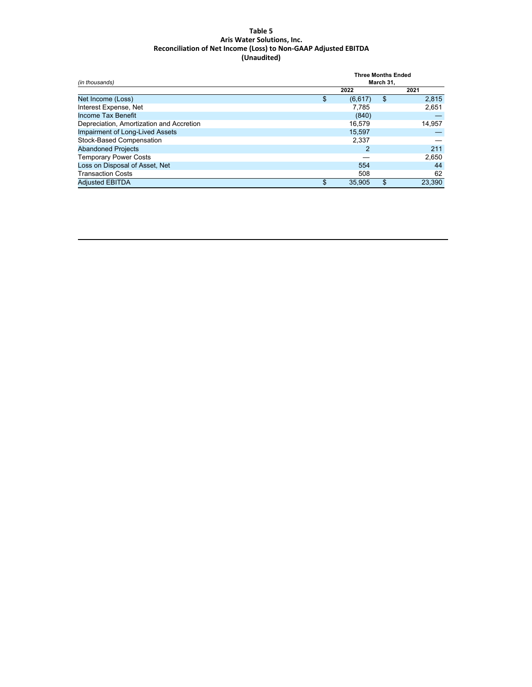#### **Table 5 Aris Water Solutions, Inc. Reconciliation of Net Income (Loss) to Non-GAAP Adjusted EBITDA (Unaudited)**

| (in thousands)                           | <b>Three Months Ended</b><br>March 31, |    |        |  |
|------------------------------------------|----------------------------------------|----|--------|--|
|                                          | 2022                                   |    | 2021   |  |
| Net Income (Loss)                        | \$<br>(6,617)                          | \$ | 2,815  |  |
| Interest Expense, Net                    | 7.785                                  |    | 2,651  |  |
| Income Tax Benefit                       | (840)                                  |    |        |  |
| Depreciation, Amortization and Accretion | 16.579                                 |    | 14,957 |  |
| Impairment of Long-Lived Assets          | 15,597                                 |    |        |  |
| Stock-Based Compensation                 | 2,337                                  |    |        |  |
| <b>Abandoned Projects</b>                |                                        |    | 211    |  |
| <b>Temporary Power Costs</b>             |                                        |    | 2,650  |  |
| Loss on Disposal of Asset, Net           | 554                                    |    | 44     |  |
| <b>Transaction Costs</b>                 | 508                                    |    | 62     |  |
| <b>Adjusted EBITDA</b>                   | \$<br>35.905                           | \$ | 23.390 |  |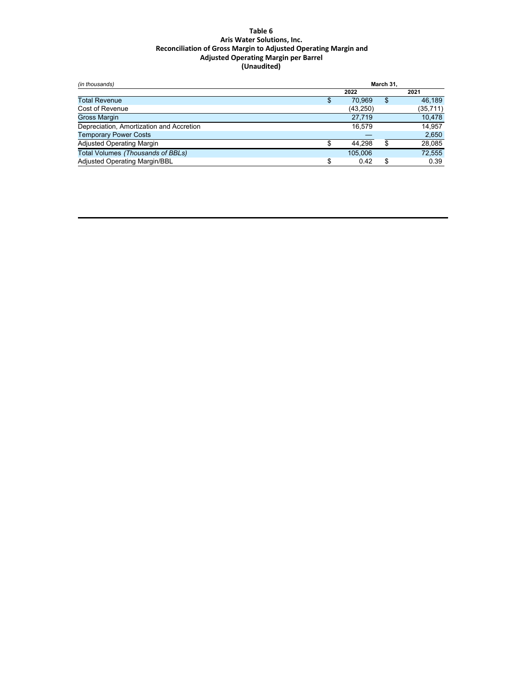#### **Table 6 Aris Water Solutions, Inc. Reconciliation of Gross Margin to Adjusted Operating Margin and Adjusted Operating Margin per Barrel (Unaudited)**

| (in thousands)                           | March 31. |           |    |           |
|------------------------------------------|-----------|-----------|----|-----------|
|                                          |           | 2022      |    | 2021      |
| <b>Total Revenue</b>                     |           | 70.969    | \$ | 46.189    |
| Cost of Revenue                          |           | (43, 250) |    | (35, 711) |
| <b>Gross Margin</b>                      |           | 27.719    |    | 10,478    |
| Depreciation, Amortization and Accretion |           | 16.579    |    | 14.957    |
| <b>Temporary Power Costs</b>             |           |           |    | 2,650     |
| <b>Adjusted Operating Margin</b>         |           | 44.298    |    | 28,085    |
| Total Volumes (Thousands of BBLs)        |           | 105.006   |    | 72,555    |
| <b>Adjusted Operating Margin/BBL</b>     | c         | 0.42      |    | 0.39      |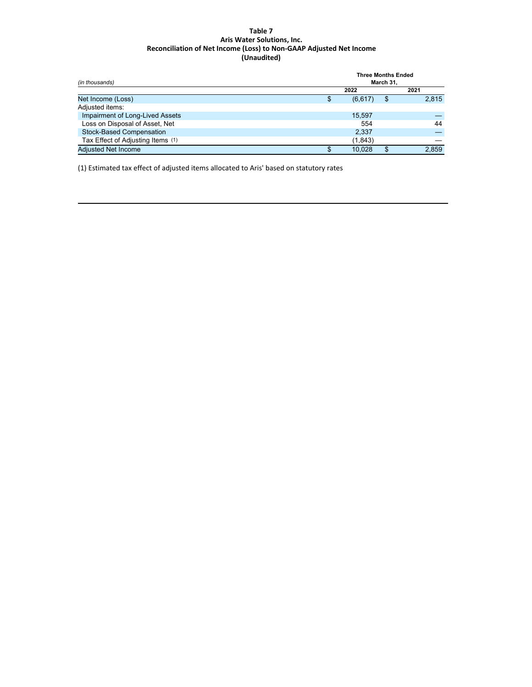#### **Table 7 Aris Water Solutions, Inc. Reconciliation of Net Income (Loss) to Non-GAAP Adjusted Net Income (Unaudited)**

| (in thousands)                    | <b>Three Months Ended</b><br>March 31. |    |       |  |  |
|-----------------------------------|----------------------------------------|----|-------|--|--|
|                                   | 2022                                   |    | 2021  |  |  |
| Net Income (Loss)                 | (6,617)                                | -S | 2,815 |  |  |
| Adjusted items:                   |                                        |    |       |  |  |
| Impairment of Long-Lived Assets   | 15.597                                 |    |       |  |  |
| Loss on Disposal of Asset, Net    | 554                                    |    | 44    |  |  |
| <b>Stock-Based Compensation</b>   | 2,337                                  |    |       |  |  |
| Tax Effect of Adjusting Items (1) | (1,843)                                |    |       |  |  |
| <b>Adjusted Net Income</b>        | 10.028                                 |    | 2.859 |  |  |

(1) Estimated tax effect of adjusted items allocated to Aris' based on statutory rates